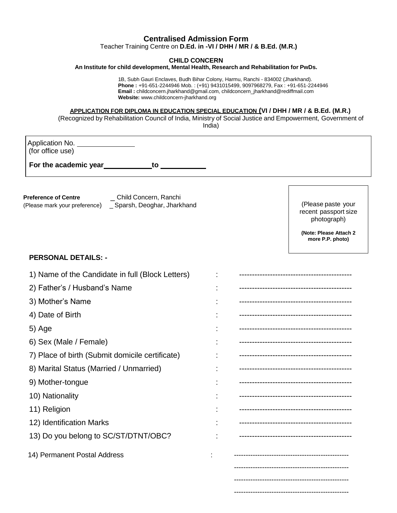## **Centralised Admission Form**

Teacher Training Centre on **D.Ed. in -VI / DHH / MR / & B.Ed. (M.R.)**

#### **CHILD CONCERN**

**An Institute for child development, Mental Health, Research and Rehabilitation for PwDs.**

 1B, Subh Gauri Enclaves, Budh Bihar Colony, Harmu, Ranchi - 834002 (Jharkhand). **Phone :** +91-651-2244946 Mob. : (+91) 9431015499, 9097968279, Fax : +91-651-2244946 **Email :** childconcern.jharkhand@gmail.com, childconcern\_jharkhand@rediffmail.com **Website:** www.childconcern-jharkhand.org

#### **APPLICATION FOR DIPLOMA IN EDUCATION SPECIAL EDUCATION (VI / DHH / MR / & B.Ed. (M.R.)**

(Recognized by Rehabilitation Council of India, Ministry of Social Justice and Empowerment, Government of India)

Application No. (for office use)

**For the academic year to**

**Preference of Centre** \_ Child Concern, Ranchi (Please mark your preference) \_ Sparsh, Deoghar, Jharkhand

(Please paste your recent passport size photograph)

**(Note: Please Attach 2 more P.P. photo)**

-------------------------------------------------

### **PERSONAL DETAILS: -**

| 1) Name of the Candidate in full (Block Letters) |                                      |
|--------------------------------------------------|--------------------------------------|
| 2) Father's / Husband's Name                     |                                      |
| 3) Mother's Name                                 | ------------------------------------ |
| 4) Date of Birth                                 |                                      |
| 5) Age                                           |                                      |
| 6) Sex (Male / Female)                           |                                      |
| 7) Place of birth (Submit domicile certificate)  |                                      |
| 8) Marital Status (Married / Unmarried)          |                                      |
| 9) Mother-tongue                                 |                                      |
| 10) Nationality                                  |                                      |
| 11) Religion                                     |                                      |
| 12) Identification Marks                         |                                      |
| 13) Do you belong to SC/ST/DTNT/OBC?             |                                      |
| 14) Permanent Postal Address                     |                                      |
|                                                  |                                      |
|                                                  |                                      |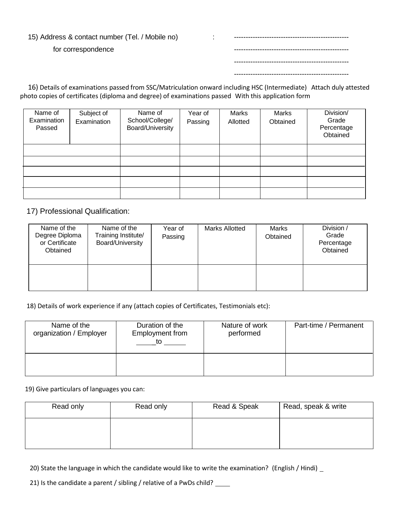### 15) Address & contact number (Tel. / Mobile no)

for correspondence

 16) Details of examinations passed from SSC/Matriculation onward including HSC (Intermediate) Attach duly attested photo copies of certificates (diploma and degree) of examinations passed With this application form

| Name of<br>Examination<br>Passed | Subject of<br>Examination | Name of<br>School/College/<br>Board/University | Year of<br>Passing | Marks<br>Allotted | Marks<br>Obtained | Division/<br>Grade<br>Percentage<br>Obtained |
|----------------------------------|---------------------------|------------------------------------------------|--------------------|-------------------|-------------------|----------------------------------------------|
|                                  |                           |                                                |                    |                   |                   |                                              |
|                                  |                           |                                                |                    |                   |                   |                                              |
|                                  |                           |                                                |                    |                   |                   |                                              |
|                                  |                           |                                                |                    |                   |                   |                                              |
|                                  |                           |                                                |                    |                   |                   |                                              |

17) Professional Qualification:

| Name of the<br>Degree Diploma<br>or Certificate<br>Obtained | Name of the<br>Training Institute/<br>Board/University | Year of<br>Passing | <b>Marks Allotted</b> | Marks<br>Obtained | Division /<br>Grade<br>Percentage<br>Obtained |
|-------------------------------------------------------------|--------------------------------------------------------|--------------------|-----------------------|-------------------|-----------------------------------------------|
|                                                             |                                                        |                    |                       |                   |                                               |

18) Details of work experience if any (attach copies of Certificates, Testimonials etc):

| Name of the<br>organization / Employer | Duration of the<br>Employment from<br>to |  | Part-time / Permanent |
|----------------------------------------|------------------------------------------|--|-----------------------|
|                                        |                                          |  |                       |

19) Give particulars of languages you can:

| Read only | Read only | Read & Speak | Read, speak & write |
|-----------|-----------|--------------|---------------------|
|           |           |              |                     |
|           |           |              |                     |

20) State the language in which the candidate would like to write the examination? (English / Hindi)

21) Is the candidate a parent / sibling / relative of a PwDs child? \_\_\_\_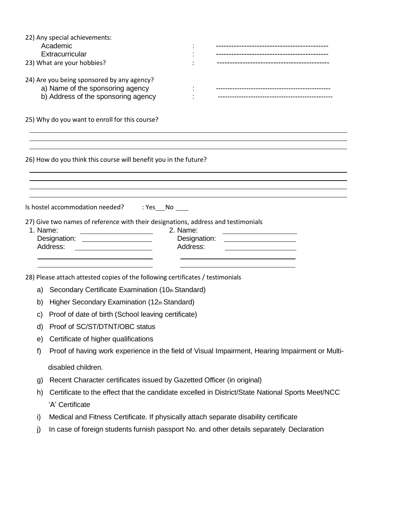|          | 22) Any special achievements:                                                                    |              |                                                                                                                      |  |  |
|----------|--------------------------------------------------------------------------------------------------|--------------|----------------------------------------------------------------------------------------------------------------------|--|--|
|          | Academic                                                                                         |              | -----------------------------<br>------------------------------                                                      |  |  |
|          | Extracurricular<br>23) What are your hobbies?                                                    |              |                                                                                                                      |  |  |
|          |                                                                                                  |              |                                                                                                                      |  |  |
|          | 24) Are you being sponsored by any agency?                                                       |              |                                                                                                                      |  |  |
|          | a) Name of the sponsoring agency                                                                 |              | -------------------------------------                                                                                |  |  |
|          | b) Address of the sponsoring agency                                                              |              |                                                                                                                      |  |  |
|          | 25) Why do you want to enroll for this course?                                                   |              |                                                                                                                      |  |  |
|          | 26) How do you think this course will benefit you in the future?                                 |              |                                                                                                                      |  |  |
|          |                                                                                                  |              |                                                                                                                      |  |  |
|          | Is hostel accommodation needed? : Yes No                                                         |              |                                                                                                                      |  |  |
|          |                                                                                                  |              |                                                                                                                      |  |  |
| 1. Name: | 27) Give two names of reference with their designations, address and testimonials                | 2. Name:     |                                                                                                                      |  |  |
|          | Designation: <u>____________________</u>                                                         | Designation: | <u> 1980 - Jan Samuel Barbara, martin di sebagai personal di sebagai personal di sebagai personal di sebagai per</u> |  |  |
|          | Address:                                                                                         | Address:     |                                                                                                                      |  |  |
|          |                                                                                                  |              |                                                                                                                      |  |  |
|          | 28) Please attach attested copies of the following certificates / testimonials                   |              |                                                                                                                      |  |  |
| a)       | Secondary Certificate Examination (10th Standard)                                                |              |                                                                                                                      |  |  |
| b)       | Higher Secondary Examination (12th Standard)                                                     |              |                                                                                                                      |  |  |
| C)       | Proof of date of birth (School leaving certificate)                                              |              |                                                                                                                      |  |  |
| d)       | Proof of SC/ST/DTNT/OBC status                                                                   |              |                                                                                                                      |  |  |
| e)       | Certificate of higher qualifications                                                             |              |                                                                                                                      |  |  |
| f)       | Proof of having work experience in the field of Visual Impairment, Hearing Impairment or Multi-  |              |                                                                                                                      |  |  |
|          | disabled children.                                                                               |              |                                                                                                                      |  |  |
| g)       | Recent Character certificates issued by Gazetted Officer (in original)                           |              |                                                                                                                      |  |  |
| h)       | Certificate to the effect that the candidate excelled in District/State National Sports Meet/NCC |              |                                                                                                                      |  |  |
|          | 'A' Certificate                                                                                  |              |                                                                                                                      |  |  |
| i)       | Medical and Fitness Certificate. If physically attach separate disability certificate            |              |                                                                                                                      |  |  |
| j)       | In case of foreign students furnish passport No. and other details separately Declaration        |              |                                                                                                                      |  |  |
|          |                                                                                                  |              |                                                                                                                      |  |  |